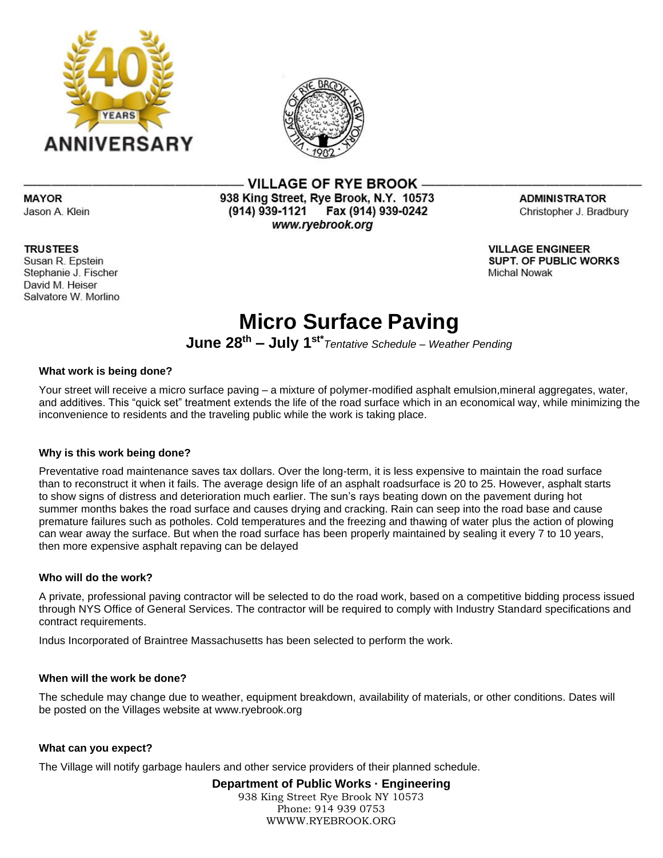



**MAYOR** Jason A. Klein

## **TRUSTEES**

Susan R. Epstein Stephanie J. Fischer David M. Heiser Salvatore W. Morlino

#### **VILLAGE OF RYE BROOK -**938 King Street, Rye Brook, N.Y. 10573 (914) 939-1121 Fax (914) 939-0242 www.ryebrook.org

**ADMINISTRATOR** Christopher J. Bradbury

**VILLAGE ENGINEER** SUPT. OF PUBLIC WORKS **Michal Nowak** 

# **Micro Surface Paving**

**June 28th – July 1st\*** *Tentative Schedule – Weather Pending*

## **What work is being done?**

Your street will receive a micro surface paving – a mixture of polymer-modified asphalt emulsion,mineral aggregates, water, and additives. This "quick set" treatment extends the life of the road surface which in an economical way, while minimizing the inconvenience to residents and the traveling public while the work is taking place.

## **Why is this work being done?**

Preventative road maintenance saves tax dollars. Over the long-term, it is less expensive to maintain the road surface than to reconstruct it when it fails. The average design life of an asphalt roadsurface is 20 to 25. However, asphalt starts to show signs of distress and deterioration much earlier. The sun's rays beating down on the pavement during hot summer months bakes the road surface and causes drying and cracking. Rain can seep into the road base and cause premature failures such as potholes. Cold temperatures and the freezing and thawing of water plus the action of plowing can wear away the surface. But when the road surface has been properly maintained by sealing it every 7 to 10 years, then more expensive asphalt repaving can be delayed

## **Who will do the work?**

A private, professional paving contractor will be selected to do the road work, based on a competitive bidding process issued through NYS Office of General Services. The contractor will be required to comply with Industry Standard specifications and contract requirements.

Indus Incorporated of Braintree Massachusetts has been selected to perform the work.

## **When will the work be done?**

The schedule may change due to weather, equipment breakdown, availability of materials, or other conditions. Dates will be posted on the Villages website at www.ryebrook.org

#### **What can you expect?**

The Village will notify garbage haulers and other service providers of their planned schedule.

**Department of Public Works · Engineering** 938 King Street Rye Brook NY 10573 Phone: 914 939 0753 WWWW.RYEBROOK.ORG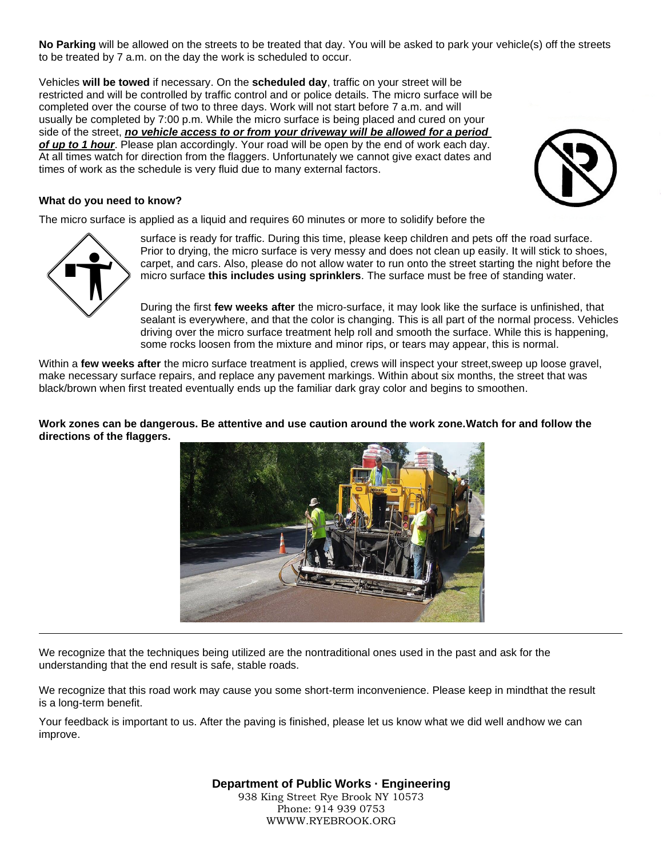**No Parking** will be allowed on the streets to be treated that day. You will be asked to park your vehicle(s) off the streets to be treated by 7 a.m. on the day the work is scheduled to occur.

Vehicles **will be towed** if necessary. On the **scheduled day**, traffic on your street will be restricted and will be controlled by traffic control and or police details. The micro surface will be completed over the course of two to three days. Work will not start before 7 a.m. and will usually be completed by 7:00 p.m. While the micro surface is being placed and cured on your side of the street, *no vehicle access to or from your driveway will be allowed for a period of up to 1 hour*. Please plan accordingly. Your road will be open by the end of work each day. At all times watch for direction from the flaggers. Unfortunately we cannot give exact dates and times of work as the schedule is very fluid due to many external factors.



#### **What do you need to know?**

The micro surface is applied as a liquid and requires 60 minutes or more to solidify before the



surface is ready for traffic. During this time, please keep children and pets off the road surface. Prior to drying, the micro surface is very messy and does not clean up easily. It will stick to shoes, carpet, and cars. Also, please do not allow water to run onto the street starting the night before the micro surface **this includes using sprinklers**. The surface must be free of standing water.

During the first **few weeks after** the micro-surface, it may look like the surface is unfinished, that sealant is everywhere, and that the color is changing. This is all part of the normal process. Vehicles driving over the micro surface treatment help roll and smooth the surface. While this is happening, some rocks loosen from the mixture and minor rips, or tears may appear, this is normal.

Within a **few weeks after** the micro surface treatment is applied, crews will inspect your street,sweep up loose gravel, make necessary surface repairs, and replace any pavement markings. Within about six months, the street that was black/brown when first treated eventually ends up the familiar dark gray color and begins to smoothen.

**Work zones can be dangerous. Be attentive and use caution around the work zone.Watch for and follow the directions of the flaggers.**



We recognize that the techniques being utilized are the nontraditional ones used in the past and ask for the understanding that the end result is safe, stable roads.

We recognize that this road work may cause you some short-term inconvenience. Please keep in mindthat the result is a long-term benefit.

Your feedback is important to us. After the paving is finished, please let us know what we did well andhow we can improve.

> **Department of Public Works · Engineering** 938 King Street Rye Brook NY 10573

Phone: 914 939 0753 WWWW.RYEBROOK.ORG